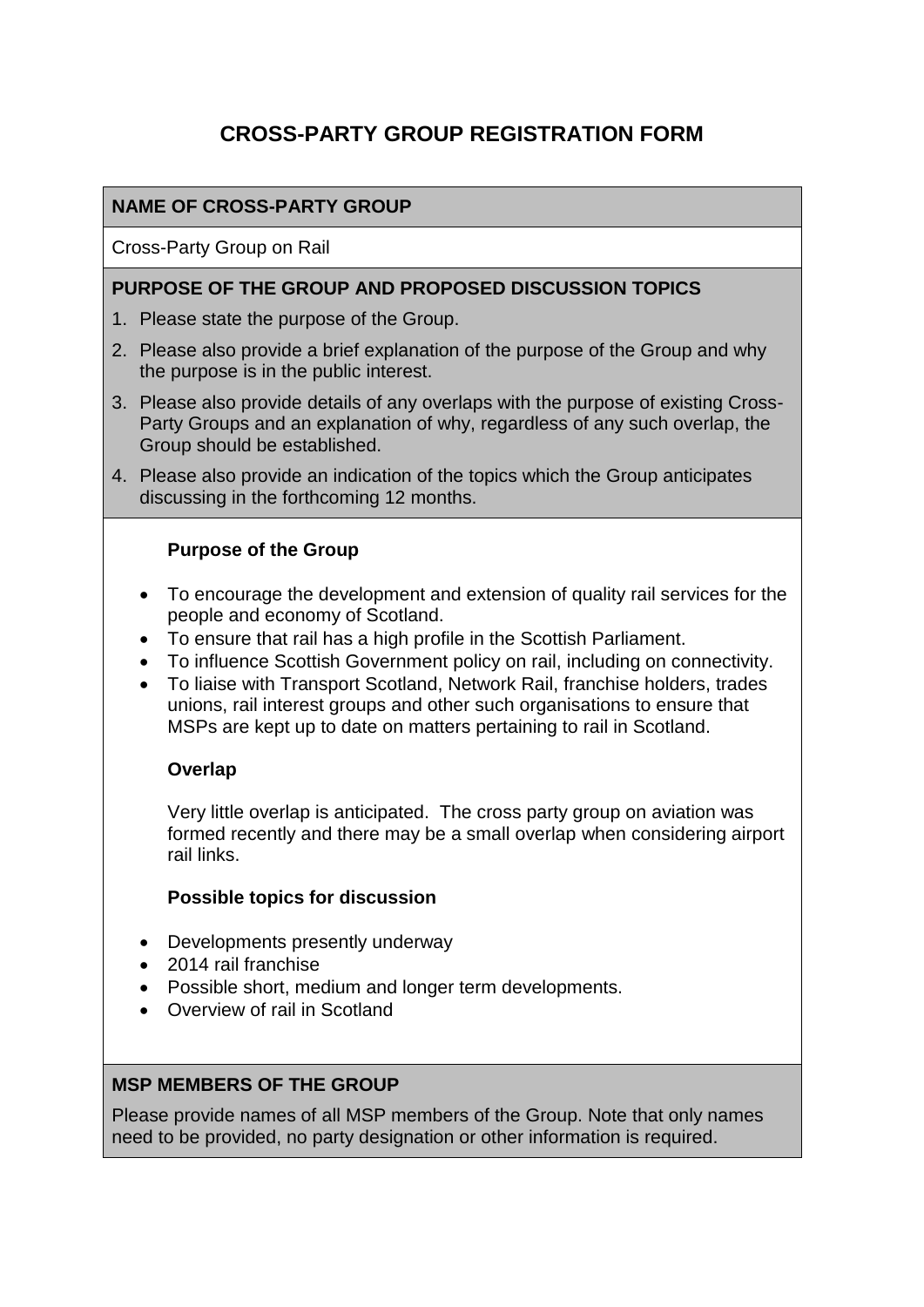# **CROSS-PARTY GROUP REGISTRATION FORM**

## **NAME OF CROSS-PARTY GROUP**

Cross-Party Group on Rail

#### **PURPOSE OF THE GROUP AND PROPOSED DISCUSSION TOPICS**

- 1. Please state the purpose of the Group.
- 2. Please also provide a brief explanation of the purpose of the Group and why the purpose is in the public interest.
- 3. Please also provide details of any overlaps with the purpose of existing Cross-Party Groups and an explanation of why, regardless of any such overlap, the Group should be established.
- 4. Please also provide an indication of the topics which the Group anticipates discussing in the forthcoming 12 months.

### **Purpose of the Group**

- To encourage the development and extension of quality rail services for the people and economy of Scotland.
- To ensure that rail has a high profile in the Scottish Parliament.
- To influence Scottish Government policy on rail, including on connectivity.
- To liaise with Transport Scotland, Network Rail, franchise holders, trades unions, rail interest groups and other such organisations to ensure that MSPs are kept up to date on matters pertaining to rail in Scotland.

#### **Overlap**

Very little overlap is anticipated. The cross party group on aviation was formed recently and there may be a small overlap when considering airport rail links.

#### **Possible topics for discussion**

- Developments presently underway
- 2014 rail franchise
- Possible short, medium and longer term developments.
- Overview of rail in Scotland

## **MSP MEMBERS OF THE GROUP**

Please provide names of all MSP members of the Group. Note that only names need to be provided, no party designation or other information is required.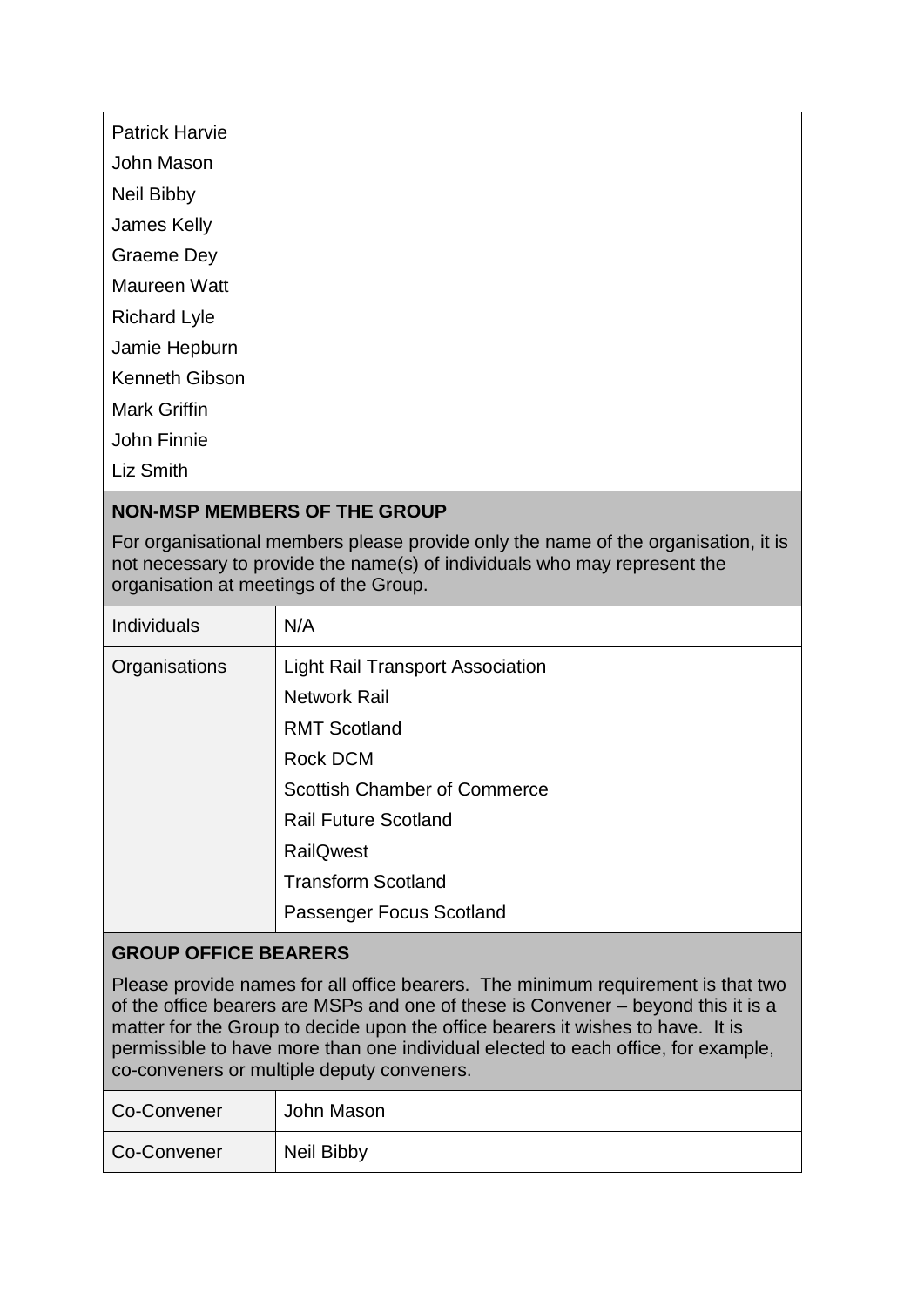| <b>Patrick Harvie</b> |  |
|-----------------------|--|
|                       |  |

John Mason

Neil Bibby

James Kelly

Graeme Dey

Maureen Watt

Richard Lyle

Jamie Hepburn

Kenneth Gibson

Mark Griffin

John Finnie

Liz Smith

# **NON-MSP MEMBERS OF THE GROUP**

For organisational members please provide only the name of the organisation, it is not necessary to provide the name(s) of individuals who may represent the organisation at meetings of the Group.

| Individuals   | N/A                                     |
|---------------|-----------------------------------------|
| Organisations | <b>Light Rail Transport Association</b> |
|               | <b>Network Rail</b>                     |
|               | <b>RMT Scotland</b>                     |
|               | <b>Rock DCM</b>                         |
|               | <b>Scottish Chamber of Commerce</b>     |
|               | <b>Rail Future Scotland</b>             |
|               | <b>RailQwest</b>                        |
|               | <b>Transform Scotland</b>               |
|               | Passenger Focus Scotland                |

## **GROUP OFFICE BEARERS**

Please provide names for all office bearers. The minimum requirement is that two of the office bearers are MSPs and one of these is Convener – beyond this it is a matter for the Group to decide upon the office bearers it wishes to have. It is permissible to have more than one individual elected to each office, for example, co-conveners or multiple deputy conveners.

| Co-Convener | John Mason |
|-------------|------------|
| Co-Convener | Neil Bibby |